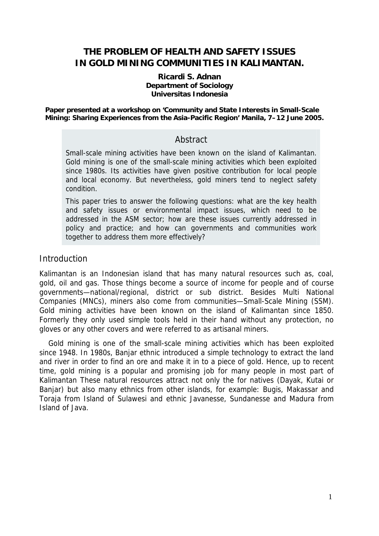# **THE PROBLEM OF HEALTH AND SAFETY ISSUES IN GOLD MINING COMMUNITIES IN KALIMANTAN.**

#### **Ricardi S. Adnan Department of Sociology Universitas Indonesia**

**Paper presented at a workshop on 'Community and State Interests in Small-Scale Mining: Sharing Experiences from the Asia-Pacific Region' Manila, 7–12 June 2005.** 

### **Abstract**

Small-scale mining activities have been known on the island of Kalimantan. Gold mining is one of the small-scale mining activities which been exploited since 1980s. Its activities have given positive contribution for local people and local economy. But nevertheless, gold miners tend to neglect safety condition.

This paper tries to answer the following questions: what are the key health and safety issues or environmental impact issues, which need to be addressed in the ASM sector; how are these issues currently addressed in policy and practice; and how can governments and communities work together to address them more effectively?

### **Introduction**

Kalimantan is an Indonesian island that has many natural resources such as, coal, gold, oil and gas. Those things become a source of income for people and of course governments—national/regional, district or sub district. Besides Multi National Companies (MNCs), miners also come from communities—Small-Scale Mining (SSM). Gold mining activities have been known on the island of Kalimantan since 1850. Formerly they only used simple tools held in their hand without any protection, no gloves or any other covers and were referred to as artisanal miners.

Gold mining is one of the small-scale mining activities which has been exploited since 1948. In 1980s, Banjar ethnic introduced a simple technology to extract the land and river in order to find an ore and make it in to a piece of gold. Hence, up to recent time, gold mining is a popular and promising job for many people in most part of Kalimantan These natural resources attract not only the for natives (Dayak, Kutai or Banjar) but also many ethnics from other islands, for example: Bugis, Makassar and Toraja from Island of Sulawesi and ethnic Javanesse, Sundanesse and Madura from Island of Java.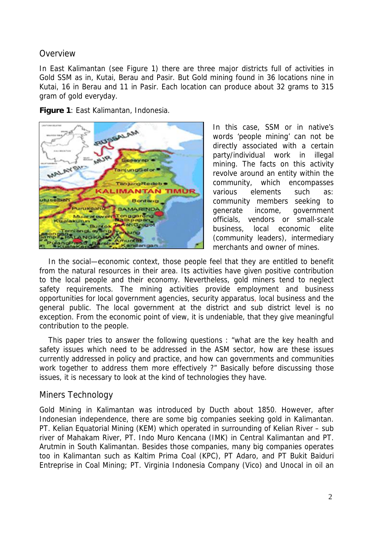### Overview

In East Kalimantan (see Figure 1) there are three major districts full of activities in Gold SSM as in, Kutai, Berau and Pasir. But Gold mining found in 36 locations nine in Kutai, 16 in Berau and 11 in Pasir. Each location can produce about 32 grams to 315 gram of gold everyday.

**Figure 1**: East Kalimantan, Indonesia.



In this case, SSM or in native's words 'people mining' can not be directly associated with a certain party/individual work in illegal mining. The facts on this activity revolve around an entity within the community, which encompasses various elements such as: community members seeking to generate income, government officials, vendors or small-scale business, local economic elite (community leaders), intermediary merchants and owner of mines.

In the social—economic context, those people feel that they are entitled to benefit from the natural resources in their area. Its activities have given positive contribution to the local people and their economy. Nevertheless, gold miners tend to neglect safety requirements. The mining activities provide employment and business opportunities for local government agencies, security apparatus, local business and the general public. The local government at the district and sub district level is no exception. From the economic point of view, it is undeniable, that they give meaningful contribution to the people.

This paper tries to answer the following questions : "what are the key health and safety issues which need to be addressed in the ASM sector, how are these issues currently addressed in policy and practice, and how can governments and communities work together to address them more effectively ?" Basically before discussing those issues, it is necessary to look at the kind of technologies they have.

### Miners Technology

Gold Mining in Kalimantan was introduced by Ducth about 1850. However, after Indonesian independence, there are some big companies seeking gold in Kalimantan. PT. Kelian Equatorial Mining (KEM) which operated in surrounding of Kelian River – sub river of Mahakam River, PT. Indo Muro Kencana (IMK) in Central Kalimantan and PT. Arutmin in South Kalimantan. Besides those companies, many big companies operates too in Kalimantan such as Kaltim Prima Coal (KPC), PT Adaro, and PT Bukit Baiduri Entreprise in Coal Mining; PT. Virginia Indonesia Company (Vico) and Unocal in oil an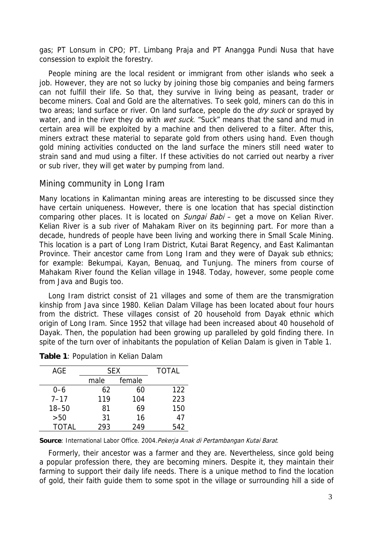gas; PT Lonsum in CPO; PT. Limbang Praja and PT Anangga Pundi Nusa that have consession to exploit the forestry.

People mining are the local resident or immigrant from other islands who seek a job. However, they are not so lucky by joining those big companies and being farmers can not fulfill their life. So that, they survive in living being as peasant, trader or become miners. Coal and Gold are the alternatives. To seek gold, miners can do this in two areas; land surface or river. On land surface, people do the *dry suck* or sprayed by water, and in the river they do with *wet suck*. "Suck" means that the sand and mud in certain area will be exploited by a machine and then delivered to a filter. After this, miners extract these material to separate gold from others using hand. Even though gold mining activities conducted on the land surface the miners still need water to strain sand and mud using a filter. If these activities do not carried out nearby a river or sub river, they will get water by pumping from land.

#### Mining community in Long Iram

Many locations in Kalimantan mining areas are interesting to be discussed since they have certain uniqueness. However, there is one location that has special distinction comparing other places. It is located on *Sungai Babi* – get a move on Kelian River. Kelian River is a sub river of Mahakam River on its beginning part. For more than a decade, hundreds of people have been living and working there in Small Scale Mining. This location is a part of Long Iram District, Kutai Barat Regency, and East Kalimantan Province. Their ancestor came from Long Iram and they were of Dayak sub ethnics; for example: Bekumpai, Kayan, Benuaq, and Tunjung. The miners from course of Mahakam River found the Kelian village in 1948. Today, however, some people come from Java and Bugis too.

Long Iram district consist of 21 villages and some of them are the transmigration kinship from Java since 1980. Kelian Dalam Village has been located about four hours from the district. These villages consist of 20 household from Dayak ethnic which origin of Long Iram. Since 1952 that village had been increased about 40 household of Dayak. Then, the population had been growing up paralleled by gold finding there. In spite of the turn over of inhabitants the population of Kelian Dalam is given in Table 1.

| AGE          | <b>SEX</b> |        | <b>TOTAL</b> |
|--------------|------------|--------|--------------|
|              | male       | female |              |
| $0 - 6$      | 62         | 60     | 122          |
| $7 - 17$     | 119        | 104    | 223          |
| $18 - 50$    | 81         | 69     | 150          |
| >50          | 31         | 16     | 47           |
| <b>TOTAL</b> | 293        | 249    | 542          |

**Table 1**: Population in Kelian Dalam

Source: International Labor Office. 2004. Pekerja Anak di Pertambangan Kutai Barat.

Formerly, their ancestor was a farmer and they are. Nevertheless, since gold being a popular profession there, they are becoming miners. Despite it, they maintain their farming to support their daily life needs. There is a unique method to find the location of gold, their faith guide them to some spot in the village or surrounding hill a side of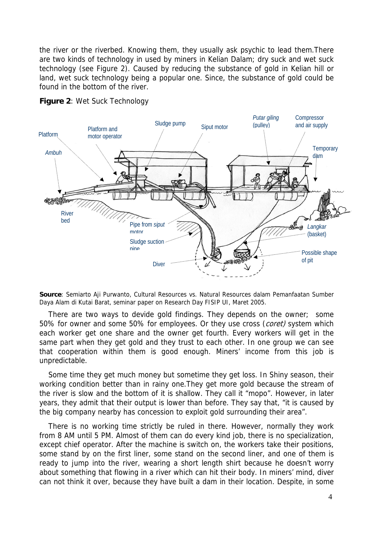the river or the riverbed. Knowing them, they usually ask psychic to lead them.There are two kinds of technology in used by miners in Kelian Dalam; dry suck and wet suck technology (see Figure 2). Caused by reducing the substance of gold in Kelian hill or land, wet suck technology being a popular one. Since, the substance of gold could be found in the bottom of the river.



**Figure 2**: Wet Suck Technology

**Source**: Semiarto Aji Purwanto, Cultural Resources vs. Natural Resources dalam Pemanfaatan Sumber Daya Alam di Kutai Barat, seminar paper on Research Day FISIP UI, Maret 2005.

There are two ways to devide gold findings. They depends on the owner; some 50% for owner and some 50% for employees. Or they use cross (coret) system which each worker get one share and the owner get fourth. Every workers will get in the same part when they get gold and they trust to each other. In one group we can see that cooperation within them is good enough. Miners' income from this job is unpredictable.

Some time they get much money but sometime they get loss. In Shiny season, their working condition better than in rainy one.They get more gold because the stream of the river is slow and the bottom of it is shallow. They call it "mopo". However, in later years, they admit that their output is lower than before. They say that, "it is caused by the big company nearby has concession to exploit gold surrounding their area".

There is no working time strictly be ruled in there. However, normally they work from 8 AM until 5 PM. Almost of them can do every kind job, there is no specialization, except chief operator. After the machine is switch on, the workers take their positions, some stand by on the first liner, some stand on the second liner, and one of them is ready to jump into the river, wearing a short length shirt because he doesn't worry about something that flowing in a river which can hit their body. In miners' mind, diver can not think it over, because they have built a dam in their location. Despite, in some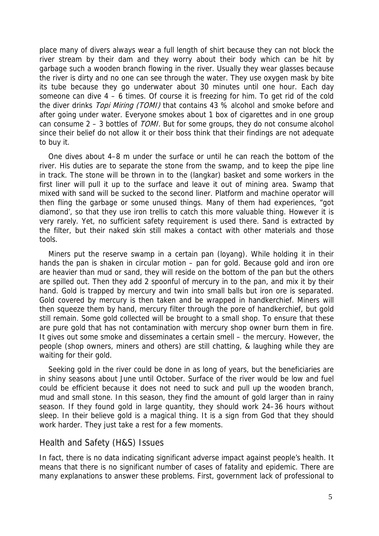place many of divers always wear a full length of shirt because they can not block the river stream by their dam and they worry about their body which can be hit by garbage such a wooden branch flowing in the river. Usually they wear glasses because the river is dirty and no one can see through the water. They use oxygen mask by bite its tube because they go underwater about 30 minutes until one hour. Each day someone can dive  $4 - 6$  times. Of course it is freezing for him. To get rid of the cold the diver drinks Topi Miring (TOMI) that contains 43 % alcohol and smoke before and after going under water. Everyone smokes about 1 box of cigarettes and in one group can consume  $2 - 3$  bottles of *TOMI*. But for some groups, they do not consume alcohol since their belief do not allow it or their boss think that their findings are not adequate to buy it.

One dives about 4–8 m under the surface or until he can reach the bottom of the river. His duties are to separate the stone from the swamp, and to keep the pipe line in track. The stone will be thrown in to the (langkar) basket and some workers in the first liner will pull it up to the surface and leave it out of mining area. Swamp that mixed with sand will be sucked to the second liner. Platform and machine operator will then fling the garbage or some unused things. Many of them had experiences, "got diamond', so that they use iron trellis to catch this more valuable thing. However it is very rarely. Yet, no sufficient safety requirement is used there. Sand is extracted by the filter, but their naked skin still makes a contact with other materials and those tools.

Miners put the reserve swamp in a certain pan (loyang). While holding it in their hands the pan is shaken in circular motion – pan for gold. Because gold and iron ore are heavier than mud or sand, they will reside on the bottom of the pan but the others are spilled out. Then they add 2 spoonful of mercury in to the pan, and mix it by their hand. Gold is trapped by mercury and twin into small balls but iron ore is separated. Gold covered by mercury is then taken and be wrapped in handkerchief. Miners will then squeeze them by hand, mercury filter through the pore of handkerchief, but gold still remain. Some gold collected will be brought to a small shop. To ensure that these are pure gold that has not contamination with mercury shop owner burn them in fire. It gives out some smoke and disseminates a certain smell – the mercury. However, the people (shop owners, miners and others) are still chatting, & laughing while they are waiting for their gold.

Seeking gold in the river could be done in as long of years, but the beneficiaries are in shiny seasons about June until October. Surface of the river would be low and fuel could be efficient because it does not need to suck and pull up the wooden branch, mud and small stone. In this season, they find the amount of gold larger than in rainy season. If they found gold in large quantity, they should work 24–36 hours without sleep. In their believe gold is a magical thing. It is a sign from God that they should work harder. They just take a rest for a few moments.

## Health and Safety (H&S) Issues

In fact, there is no data indicating significant adverse impact against people's health. It means that there is no significant number of cases of fatality and epidemic. There are many explanations to answer these problems. First, government lack of professional to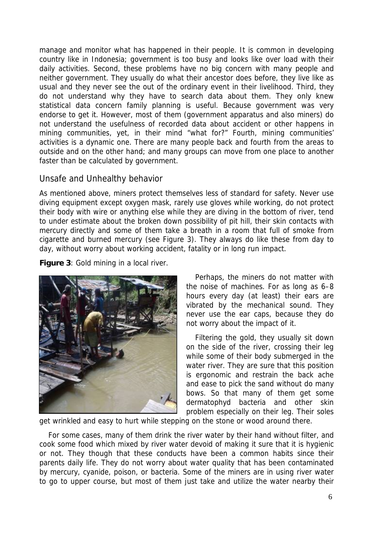manage and monitor what has happened in their people. It is common in developing country like in Indonesia; government is too busy and looks like over load with their daily activities. Second, these problems have no big concern with many people and neither government. They usually do what their ancestor does before, they live like as usual and they never see the out of the ordinary event in their livelihood. Third, they do not understand why they have to search data about them. They only knew statistical data concern family planning is useful. Because government was very endorse to get it. However, most of them (government apparatus and also miners) do not understand the usefulness of recorded data about accident or other happens in mining communities, yet, in their mind "what for?" Fourth, mining communities' activities is a dynamic one. There are many people back and fourth from the areas to outside and on the other hand; and many groups can move from one place to another faster than be calculated by government.

### Unsafe and Unhealthy behavior

As mentioned above, miners protect themselves less of standard for safety. Never use diving equipment except oxygen mask, rarely use gloves while working, do not protect their body with wire or anything else while they are diving in the bottom of river, tend to under estimate about the broken down possibility of pit hill, their skin contacts with mercury directly and some of them take a breath in a room that full of smoke from cigarette and burned mercury (see Figure 3). They always do like these from day to day, without worry about working accident, fatality or in long run impact.

**Figure 3**: Gold mining in a local river.



Perhaps, the miners do not matter with the noise of machines. For as long as 6–8 hours every day (at least) their ears are vibrated by the mechanical sound. They never use the ear caps, because they do not worry about the impact of it.

Filtering the gold, they usually sit down on the side of the river, crossing their leg while some of their body submerged in the water river. They are sure that this position is ergonomic and restrain the back ache and ease to pick the sand without do many bows. So that many of them get some dermatophyd bacteria and other skin problem especially on their leg. Their soles

get wrinkled and easy to hurt while stepping on the stone or wood around there.

For some cases, many of them drink the river water by their hand without filter, and cook some food which mixed by river water devoid of making it sure that it is hygienic or not. They though that these conducts have been a common habits since their parents daily life. They do not worry about water quality that has been contaminated by mercury, cyanide, poison, or bacteria. Some of the miners are in using river water to go to upper course, but most of them just take and utilize the water nearby their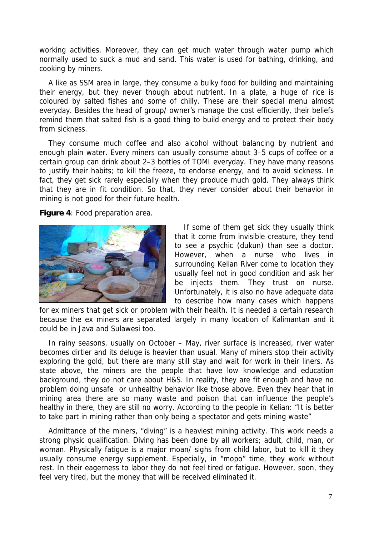working activities. Moreover, they can get much water through water pump which normally used to suck a mud and sand. This water is used for bathing, drinking, and cooking by miners.

A like as SSM area in large, they consume a bulky food for building and maintaining their energy, but they never though about nutrient. In a plate, a huge of rice is coloured by salted fishes and some of chilly. These are their special menu almost everyday. Besides the head of group/ owner's manage the cost efficiently, their beliefs remind them that salted fish is a good thing to build energy and to protect their body from sickness.

They consume much coffee and also alcohol without balancing by nutrient and enough plain water. Every miners can usually consume about 3–5 cups of coffee or a certain group can drink about 2–3 bottles of TOMI everyday. They have many reasons to justify their habits; to kill the freeze, to endorse energy, and to avoid sickness. In fact, they get sick rarely especially when they produce much gold. They always think that they are in fit condition. So that, they never consider about their behavior in mining is not good for their future health.

**Figure 4**: Food preparation area.



If some of them get sick they usually think that it come from invisible creature, they tend to see a psychic (dukun) than see a doctor. However, when a nurse who lives in surrounding Kelian River come to location they usually feel not in good condition and ask her be injects them. They trust on nurse. Unfortunately, it is also no have adequate data to describe how many cases which happens

for ex miners that get sick or problem with their health. It is needed a certain research because the ex miners are separated largely in many location of Kalimantan and it could be in Java and Sulawesi too.

In rainy seasons, usually on October – May, river surface is increased, river water becomes dirtier and its deluge is heavier than usual. Many of miners stop their activity exploring the gold, but there are many still stay and wait for work in their liners. As state above, the miners are the people that have low knowledge and education background, they do not care about H&S. In reality, they are fit enough and have no problem doing unsafe or unhealthy behavior like those above. Even they hear that in mining area there are so many waste and poison that can influence the people's healthy in there, they are still no worry. According to the people in Kelian: "It is better to take part in mining rather than only being a spectator and gets mining waste"

Admittance of the miners, "diving" is a heaviest mining activity. This work needs a strong physic qualification. Diving has been done by all workers; adult, child, man, or woman. Physically fatigue is a major moan/ sighs from child labor, but to kill it they usually consume energy supplement. Especially, in "mopo" time, they work without rest. In their eagerness to labor they do not feel tired or fatigue. However, soon, they feel very tired, but the money that will be received eliminated it.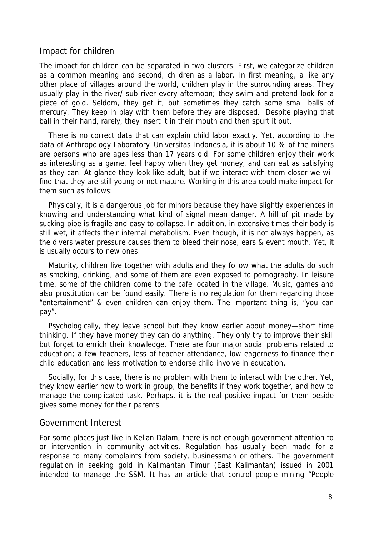#### Impact for children

The impact for children can be separated in two clusters. First, we categorize children as a common meaning and second, children as a labor. In first meaning, a like any other place of villages around the world, children play in the surrounding areas. They usually play in the river/ sub river every afternoon; they swim and pretend look for a piece of gold. Seldom, they get it, but sometimes they catch some small balls of mercury. They keep in play with them before they are disposed. Despite playing that ball in their hand, rarely, they insert it in their mouth and then spurt it out.

There is no correct data that can explain child labor exactly. Yet, according to the data of Anthropology Laboratory–Universitas Indonesia, it is about 10 % of the miners are persons who are ages less than 17 years old. For some children enjoy their work as interesting as a game, feel happy when they get money, and can eat as satisfying as they can. At glance they look like adult, but if we interact with them closer we will find that they are still young or not mature. Working in this area could make impact for them such as follows:

Physically, it is a dangerous job for minors because they have slightly experiences in knowing and understanding what kind of signal mean danger. A hill of pit made by sucking pipe is fragile and easy to collapse. In addition, in extensive times their body is still wet, it affects their internal metabolism. Even though, it is not always happen, as the divers water pressure causes them to bleed their nose, ears & event mouth. Yet, it is usually occurs to new ones.

Maturity, children live together with adults and they follow what the adults do such as smoking, drinking, and some of them are even exposed to pornography. In leisure time, some of the children come to the cafe located in the village. Music, games and also prostitution can be found easily. There is no regulation for them regarding those "entertainment" & even children can enjoy them. The important thing is, "you can pay".

Psychologically, they leave school but they know earlier about money—short time thinking. If they have money they can do anything. They only try to improve their skill but forget to enrich their knowledge. There are four major social problems related to education; a few teachers, less of teacher attendance, low eagerness to finance their child education and less motivation to endorse child involve in education.

Socially, for this case, there is no problem with them to interact with the other. Yet, they know earlier how to work in group, the benefits if they work together, and how to manage the complicated task. Perhaps, it is the real positive impact for them beside gives some money for their parents.

### Government Interest

For some places just like in Kelian Dalam, there is not enough government attention to or intervention in community activities. Regulation has usually been made for a response to many complaints from society, businessman or others. The government regulation in seeking gold in Kalimantan Timur (East Kalimantan) issued in 2001 intended to manage the SSM. It has an article that control people mining "People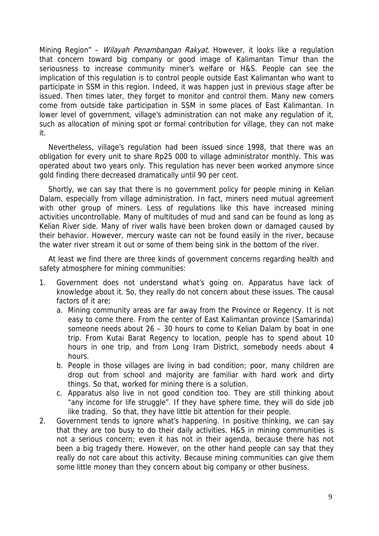Mining Region" - Wilayah Penambangan Rakyat. However, it looks like a regulation that concern toward big company or good image of Kalimantan Timur than the seriousness to increase community miner's welfare or H&S. People can see the implication of this regulation is to control people outside East Kalimantan who want to participate in SSM in this region. Indeed, it was happen just in previous stage after be issued. Then times later, they forget to monitor and control them. Many new comers come from outside take participation in SSM in some places of East Kalimantan. In lower level of government, village's administration can not make any regulation of it, such as allocation of mining spot or formal contribution for village, they can not make it.

Nevertheless, village's regulation had been issued since 1998, that there was an obligation for every unit to share Rp25 000 to village administrator monthly. This was operated about two years only. This regulation has never been worked anymore since gold finding there decreased dramatically until 90 per cent.

Shortly, we can say that there is no government policy for people mining in Kelian Dalam, especially from village administration. In fact, miners need mutual agreement with other group of miners. Less of regulations like this have increased mining activities uncontrollable. Many of multitudes of mud and sand can be found as long as Kelian River side. Many of river walls have been broken down or damaged caused by their behavior. However, mercury waste can not be found easily in the river, because the water river stream it out or some of them being sink in the bottom of the river.

At least we find there are three kinds of government concerns regarding health and safety atmosphere for mining communities:

- 1. Government does not understand what's going on. Apparatus have lack of knowledge about it. So, they really do not concern about these issues. The causal factors of it are;
	- a. Mining community areas are far away from the Province or Regency. It is not easy to come there. From the center of East Kalimantan province (Samarinda) someone needs about 26 – 30 hours to come to Kelian Dalam by boat in one trip. From Kutai Barat Regency to location, people has to spend about 10 hours in one trip, and from Long Iram District, somebody needs about 4 hours.
	- b. People in those villages are living in bad condition; poor, many children are drop out from school and majority are familiar with hard work and dirty things. So that, worked for mining there is a solution.
	- c. Apparatus also live in not good condition too. They are still thinking about "any income for life struggle". If they have sphere time, they will do side job like trading. So that, they have little bit attention for their people.
- 2. Government tends to ignore what's happening. In positive thinking, we can say that they are too busy to do their daily activities. H&S in mining communities is not a serious concern; even it has not in their agenda, because there has not been a big tragedy there. However, on the other hand people can say that they really do not care about this activity. Because mining communities can give them some little money than they concern about big company or other business.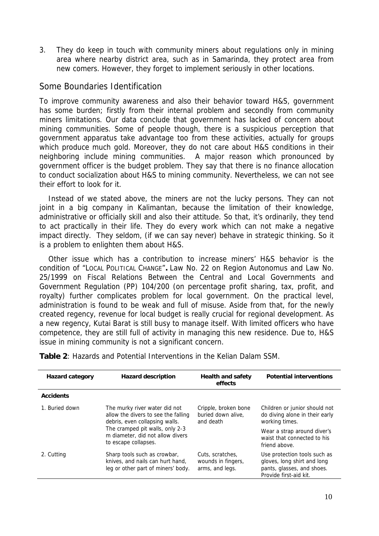3. They do keep in touch with community miners about regulations only in mining area where nearby district area, such as in Samarinda, they protect area from new comers. However, they forget to implement seriously in other locations.

### Some Boundaries Identification

To improve community awareness and also their behavior toward H&S, government has some burden; firstly from their internal problem and secondly from community miners limitations. Our data conclude that government has lacked of concern about mining communities. Some of people though, there is a suspicious perception that government apparatus take advantage too from these activities, actually for groups which produce much gold. Moreover, they do not care about H&S conditions in their neighboring include mining communities. A major reason which pronounced by government officer is the budget problem. They say that there is no finance allocation to conduct socialization about H&S to mining community. Nevertheless, we can not see their effort to look for it.

Instead of we stated above, the miners are not the lucky persons. They can not joint in a big company in Kalimantan, because the limitation of their knowledge, administrative or officially skill and also their attitude. So that, it's ordinarily, they tend to act practically in their life. They do every work which can not make a negative impact directly. They seldom, (if we can say never) behave in strategic thinking. So it is a problem to enlighten them about H&S.

Other issue which has a contribution to increase miners' H&S behavior is the condition of "LOCAL POLITICAL CHANGE"**.** Law No. 22 on Region Autonomus and Law No. 25/1999 on Fiscal Relations Between the Central and Local Governments and Government Regulation (PP) 104/200 (on percentage profit sharing, tax, profit, and royalty) further complicates problem for local government. On the practical level, administration is found to be weak and full of misuse. Aside from that, for the newly created regency, revenue for local budget is really crucial for regional development. As a new regency, Kutai Barat is still busy to manage itself. With limited officers who have competence, they are still full of activity in managing this new residence. Due to, H&S issue in mining community is not a significant concern.

**Table 2**: Hazards and Potential Interventions in the Kelian Dalam SSM.

| <b>Hazard category</b> | <b>Hazard description</b>                                                                                                                                                                             | <b>Health and safety</b><br>effects                       | <b>Potential interventions</b>                                                                                      |
|------------------------|-------------------------------------------------------------------------------------------------------------------------------------------------------------------------------------------------------|-----------------------------------------------------------|---------------------------------------------------------------------------------------------------------------------|
| <b>Accidents</b>       |                                                                                                                                                                                                       |                                                           |                                                                                                                     |
| 1. Buried down         | The murky river water did not<br>allow the divers to see the falling<br>debris, even collapsing walls.<br>The cramped pit walls, only 2-3<br>m diameter, did not allow divers<br>to escape collapses. | Cripple, broken bone<br>buried down alive.<br>and death   | Children or junior should not<br>do diving alone in their early<br>working times.                                   |
|                        |                                                                                                                                                                                                       |                                                           | Wear a strap around diver's<br>waist that connected to his<br>friend above.                                         |
| 2. Cutting             | Sharp tools such as crowbar,<br>knives, and nails can hurt hand,<br>leg or other part of miners' body.                                                                                                | Cuts, scratches,<br>wounds in fingers,<br>arms, and legs. | Use protection tools such as<br>gloves, long shirt and long<br>pants, glasses, and shoes.<br>Provide first-aid kit. |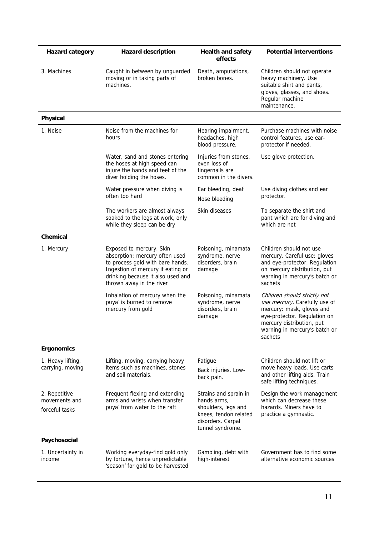| <b>Hazard category</b>                           | <b>Hazard description</b>                                                                                                                                                                            | <b>Health and safety</b><br>effects                                                                                           | <b>Potential interventions</b>                                                                                                                                                                      |
|--------------------------------------------------|------------------------------------------------------------------------------------------------------------------------------------------------------------------------------------------------------|-------------------------------------------------------------------------------------------------------------------------------|-----------------------------------------------------------------------------------------------------------------------------------------------------------------------------------------------------|
| 3. Machines                                      | Caught in between by unguarded<br>moving or in taking parts of<br>machines.                                                                                                                          | Death, amputations,<br>broken bones.                                                                                          | Children should not operate<br>heavy machinery. Use<br>suitable shirt and pants,<br>gloves, glasses, and shoes.<br>Regular machine<br>maintenance.                                                  |
| Physical                                         |                                                                                                                                                                                                      |                                                                                                                               |                                                                                                                                                                                                     |
| 1. Noise                                         | Noise from the machines for<br>hours                                                                                                                                                                 | Hearing impairment,<br>headaches, high<br>blood pressure.                                                                     | Purchase machines with noise<br>control features, use ear-<br>protector if needed.                                                                                                                  |
|                                                  | Water, sand and stones entering<br>the hoses at high speed can<br>injure the hands and feet of the<br>diver holding the hoses.                                                                       | Injuries from stones,<br>even loss of<br>fingernails are<br>common in the divers.                                             | Use glove protection.                                                                                                                                                                               |
|                                                  | Water pressure when diving is<br>often too hard                                                                                                                                                      | Ear bleeding, deaf<br>Nose bleeding                                                                                           | Use diving clothes and ear<br>protector.                                                                                                                                                            |
|                                                  | The workers are almost always<br>soaked to the legs at work, only<br>while they sleep can be dry                                                                                                     | Skin diseases                                                                                                                 | To separate the shirt and<br>pant which are for diving and<br>which are not                                                                                                                         |
| Chemical                                         |                                                                                                                                                                                                      |                                                                                                                               |                                                                                                                                                                                                     |
| 1. Mercury                                       | Exposed to mercury. Skin<br>absorption: mercury often used<br>to process gold with bare hands.<br>Ingestion of mercury if eating or<br>drinking because it also used and<br>thrown away in the river | Poisoning, minamata<br>syndrome, nerve<br>disorders, brain<br>damage                                                          | Children should not use<br>mercury. Careful use: gloves<br>and eye-protector. Regulation<br>on mercury distribution, put<br>warning in mercury's batch or<br>sachets                                |
|                                                  | Inhalation of mercury when the<br>puya' is burned to remove<br>mercury from gold                                                                                                                     | Poisoning, minamata<br>syndrome, nerve<br>disorders, brain<br>damage                                                          | Children should strictly not<br>use mercury. Carefully use of<br>mercury: mask, gloves and<br>eye-protector. Regulation on<br>mercury distribution, put<br>warning in mercury's batch or<br>sachets |
| <b>Ergonomics</b>                                |                                                                                                                                                                                                      |                                                                                                                               |                                                                                                                                                                                                     |
| 1. Heavy lifting,<br>carrying, moving            | Lifting, moving, carrying heavy<br>items such as machines, stones<br>and soil materials.                                                                                                             | Fatigue<br>Back injuries. Low-<br>back pain.                                                                                  | Children should not lift or<br>move heavy loads. Use carts<br>and other lifting aids. Train<br>safe lifting techniques.                                                                             |
| 2. Repetitive<br>movements and<br>forceful tasks | Frequent flexing and extending<br>arms and wrists when transfer<br>puya' from water to the raft                                                                                                      | Strains and sprain in<br>hands arms,<br>shoulders, legs and<br>knees, tendon related<br>disorders. Carpal<br>tunnel syndrome. | Design the work management<br>which can decrease these<br>hazards. Miners have to<br>practice a gymnastic.                                                                                          |
| Psychosocial                                     |                                                                                                                                                                                                      |                                                                                                                               |                                                                                                                                                                                                     |
| 1. Uncertainty in<br>income                      | Working everyday-find gold only<br>by fortune, hence unpredictable<br>'season' for gold to be harvested                                                                                              | Gambling, debt with<br>high-interest                                                                                          | Government has to find some<br>alternative economic sources                                                                                                                                         |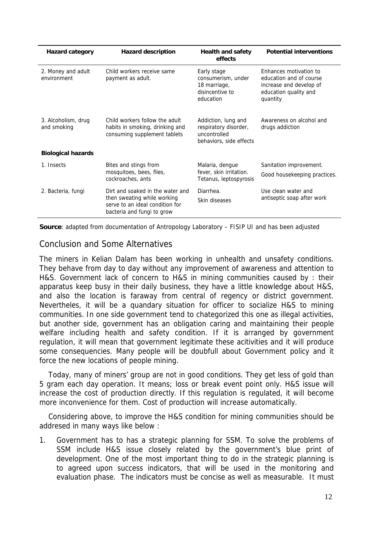| <b>Hazard category</b>             | <b>Hazard description</b>                                                                                                        | <b>Health and safety</b><br>effects                                                     | <b>Potential interventions</b>                                                                                    |
|------------------------------------|----------------------------------------------------------------------------------------------------------------------------------|-----------------------------------------------------------------------------------------|-------------------------------------------------------------------------------------------------------------------|
| 2. Money and adult<br>environment  | Child workers receive same<br>payment as adult.                                                                                  | Early stage<br>consumerism, under<br>18 marriage,<br>disincentive to<br>education       | Enhances motivation to<br>education and of course<br>increase and develop of<br>education quality and<br>quantity |
| 3. Alcoholism, drug<br>and smoking | Child workers follow the adult<br>habits in smoking, drinking and<br>consuming supplement tablets                                | Addiction, lung and<br>respiratory disorder,<br>uncontrolled<br>behaviors, side effects | Awareness on alcohol and<br>drugs addiction                                                                       |
| <b>Biological hazards</b>          |                                                                                                                                  |                                                                                         |                                                                                                                   |
| 1. Insects                         | Bites and stings from<br>mosquitoes, bees, flies,<br>cockroaches, ants                                                           | Malaria, dengue<br>fever, skin irritation.<br>Tetanus, leptospyrosis                    | Sanitation improvement.<br>Good housekeeping practices.                                                           |
| 2. Bacteria, fungi                 | Dirt and soaked in the water and<br>then sweating while working<br>serve to an ideal condition for<br>bacteria and fungi to grow | Diarrhea.<br>Skin diseases                                                              | Use clean water and<br>antiseptic soap after work                                                                 |

**Source**: adapted from documentation of Antropology Laboratory – FISIP UI and has been adjusted

### Conclusion and Some Alternatives

The miners in Kelian Dalam has been working in unhealth and unsafety conditions. They behave from day to day without any improvement of awareness and attention to H&S. Government lack of concern to H&S in mining communities caused by : their apparatus keep busy in their daily business, they have a little knowledge about H&S, and also the location is faraway from central of regency or district government. Nevertheles, it will be a quandary situation for officer to socialize H&S to mining communities. In one side government tend to chategorized this one as illegal activities, but another side, government has an obligation caring and maintaining their people welfare including health and safety condition. If it is arranged by government regulation, it will mean that government legitimate these acitivities and it will produce some consequencies. Many people will be doubfull about Government policy and it force the new locations of people mining.

Today, many of miners' group are not in good conditions. They get less of gold than 5 gram each day operation. It means; loss or break event point only. H&S issue will increase the cost of production directly. If this regulation is regulated, it will become more inconvenience for them. Cost of production will increase automatically.

Considering above, to improve the H&S condition for mining communities should be addresed in many ways like below :

1. Government has to has a strategic planning for SSM. To solve the problems of SSM include H&S issue closely related by the government's blue print of development. One of the most important thing to do in the strategic planning is to agreed upon success indicators, that will be used in the monitoring and evaluation phase. The indicators must be concise as well as measurable. It must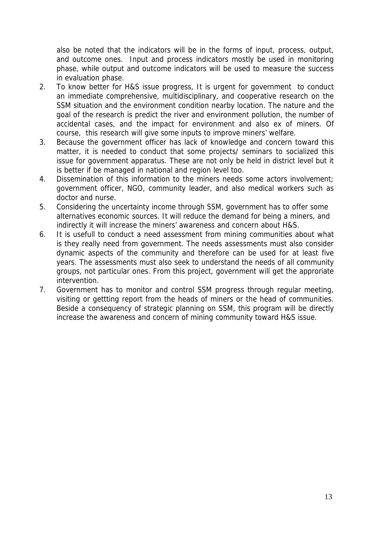also be noted that the indicators will be in the forms of input, process, output, and outcome ones. Input and process indicators mostly be used in monitoring phase, while output and outcome indicators will be used to measure the success in evaluation phase.

- 2. To know better for H&S issue progress, It is urgent for government to conduct an immediate comprehensive, multidisciplinary, and cooperative research on the SSM situation and the environment condition nearby location. The nature and the goal of the research is predict the river and environment pollution, the number of accidental cases, and the impact for environment and also ex of miners. Of course, this research will give some inputs to improve miners' welfare.
- 3. Because the government officer has lack of knowledge and concern toward this matter, it is needed to conduct that some projects/ seminars to socialized this issue for government apparatus. These are not only be held in district level but it is better if be managed in national and region level too.
- 4. Dissemination of this information to the miners needs some actors involvement; government officer, NGO, community leader, and also medical workers such as doctor and nurse.
- 5. Considering the uncertainty income through SSM, government has to offer some alternatives economic sources. It will reduce the demand for being a miners, and indirectly it will increase the miners' awareness and concern about H&S.
- 6. It is usefull to conduct a need assessment from mining communities about what is they really need from government. The needs assessments must also consider dynamic aspects of the community and therefore can be used for at least five years. The assessments must also seek to understand the needs of all community groups, not particular ones. From this project, government will get the approriate intervention.
- 7. Government has to monitor and control SSM progress through regular meeting, visiting or gettting report from the heads of miners or the head of communities. Beside a consequency of strategic planning on SSM, this program will be directly increase the awareness and concern of mining community toward H&S issue.